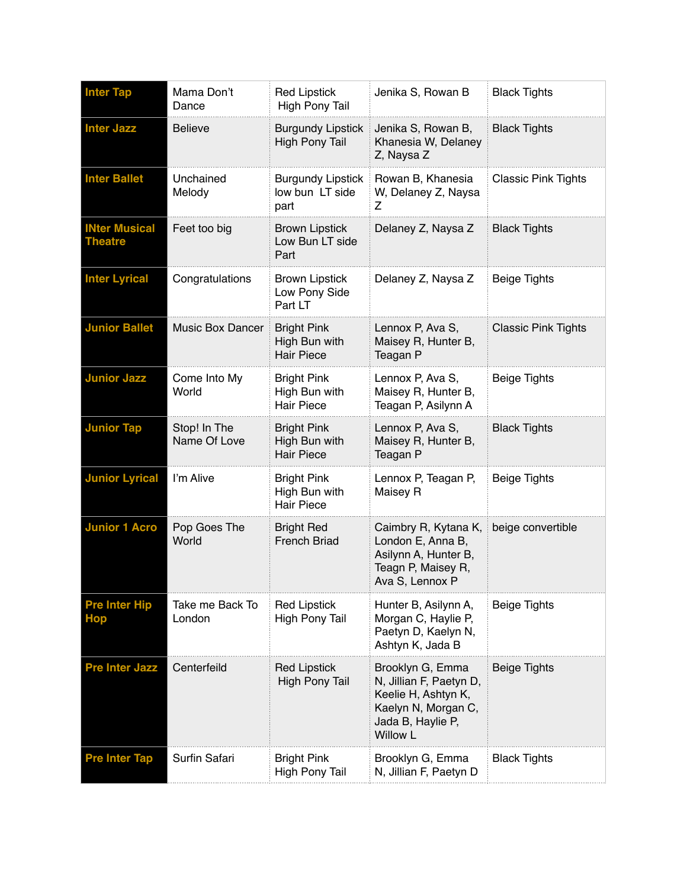| <b>Inter Tap</b>                       | Mama Don't<br>Dance          | <b>Red Lipstick</b><br><b>High Pony Tail</b>             | Jenika S, Rowan B                                                                                                                 | <b>Black Tights</b>        |
|----------------------------------------|------------------------------|----------------------------------------------------------|-----------------------------------------------------------------------------------------------------------------------------------|----------------------------|
| <b>Inter Jazz</b>                      | <b>Believe</b>               | <b>Burgundy Lipstick</b><br><b>High Pony Tail</b>        | Jenika S, Rowan B,<br>Khanesia W, Delaney<br>Z, Naysa Z                                                                           | <b>Black Tights</b>        |
| <b>Inter Ballet</b>                    | Unchained<br>Melody          | <b>Burgundy Lipstick</b><br>low bun LT side<br>part      | Rowan B, Khanesia<br>W, Delaney Z, Naysa<br>Ζ                                                                                     | <b>Classic Pink Tights</b> |
| <b>INter Musical</b><br><b>Theatre</b> | Feet too big                 | <b>Brown Lipstick</b><br>Low Bun LT side<br>Part         | Delaney Z, Naysa Z                                                                                                                | <b>Black Tights</b>        |
| <b>Inter Lyrical</b>                   | Congratulations              | <b>Brown Lipstick</b><br>Low Pony Side<br>Part LT        | Delaney Z, Naysa Z                                                                                                                | <b>Beige Tights</b>        |
| <b>Junior Ballet</b>                   | <b>Music Box Dancer</b>      | <b>Bright Pink</b><br>High Bun with<br><b>Hair Piece</b> | Lennox P, Ava S,<br>Maisey R, Hunter B,<br>Teagan P                                                                               | <b>Classic Pink Tights</b> |
| <b>Junior Jazz</b>                     | Come Into My<br>World        | <b>Bright Pink</b><br>High Bun with<br><b>Hair Piece</b> | Lennox P, Ava S,<br>Maisey R, Hunter B,<br>Teagan P, Asilynn A                                                                    | <b>Beige Tights</b>        |
| <b>Junior Tap</b>                      | Stop! In The<br>Name Of Love | <b>Bright Pink</b><br>High Bun with<br><b>Hair Piece</b> | Lennox P, Ava S,<br>Maisey R, Hunter B,<br>Teagan P                                                                               | <b>Black Tights</b>        |
| <b>Junior Lyrical</b>                  | I'm Alive                    | <b>Bright Pink</b><br>High Bun with<br><b>Hair Piece</b> | Lennox P, Teagan P,<br>Maisey R                                                                                                   | <b>Beige Tights</b>        |
| <b>Junior 1 Acro</b>                   | Pop Goes The<br>World        | <b>Bright Red</b><br>French Briad                        | Caimbry R, Kytana K,<br>London E, Anna B,<br>Asilynn A, Hunter B,<br>Teagn P, Maisey R,<br>Ava S, Lennox P                        | beige convertible          |
| <b>Pre Inter Hip</b><br><b>Hop</b>     | Take me Back To<br>London    | <b>Red Lipstick</b><br><b>High Pony Tail</b>             | Hunter B, Asilynn A,<br>Morgan C, Haylie P,<br>Paetyn D, Kaelyn N,<br>Ashtyn K, Jada B                                            | <b>Beige Tights</b>        |
| <b>Pre Inter Jazz</b>                  | Centerfeild                  | <b>Red Lipstick</b><br><b>High Pony Tail</b>             | Brooklyn G, Emma<br>N, Jillian F, Paetyn D,<br>Keelie H, Ashtyn K,<br>Kaelyn N, Morgan C,<br>Jada B, Haylie P,<br><b>Willow L</b> | <b>Beige Tights</b>        |
| <b>Pre Inter Tap</b>                   | Surfin Safari                | <b>Bright Pink</b><br><b>High Pony Tail</b>              | Brooklyn G, Emma<br>N, Jillian F, Paetyn D                                                                                        | <b>Black Tights</b>        |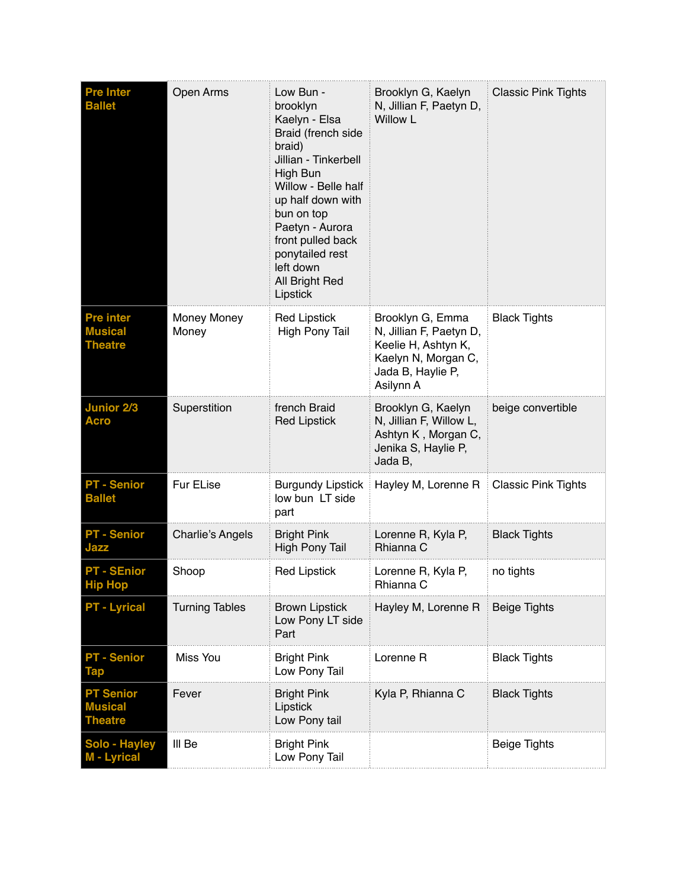| <b>Pre Inter</b><br><b>Ballet</b>                    | Open Arms               | Low Bun -<br>brooklyn<br>Kaelyn - Elsa<br>Braid (french side<br>braid)<br>Jillian - Tinkerbell<br>High Bun<br>Willow - Belle half<br>up half down with<br>bun on top<br>Paetyn - Aurora<br>front pulled back<br>ponytailed rest<br>left down<br>All Bright Red<br>Lipstick | Brooklyn G, Kaelyn<br>N, Jillian F, Paetyn D,<br><b>Willow L</b>                                                            | <b>Classic Pink Tights</b> |
|------------------------------------------------------|-------------------------|----------------------------------------------------------------------------------------------------------------------------------------------------------------------------------------------------------------------------------------------------------------------------|-----------------------------------------------------------------------------------------------------------------------------|----------------------------|
| <b>Pre inter</b><br><b>Musical</b><br><b>Theatre</b> | Money Money<br>Money    | <b>Red Lipstick</b><br><b>High Pony Tail</b>                                                                                                                                                                                                                               | Brooklyn G, Emma<br>N, Jillian F, Paetyn D,<br>Keelie H, Ashtyn K,<br>Kaelyn N, Morgan C,<br>Jada B, Haylie P,<br>Asilynn A | <b>Black Tights</b>        |
| <b>Junior 2/3</b><br><b>Acro</b>                     | Superstition            | french Braid<br><b>Red Lipstick</b>                                                                                                                                                                                                                                        | Brooklyn G, Kaelyn<br>N, Jillian F, Willow L,<br>Ashtyn K, Morgan C,<br>Jenika S, Haylie P,<br>Jada B,                      | beige convertible          |
| <b>PT - Senior</b><br><b>Ballet</b>                  | Fur ELise               | <b>Burgundy Lipstick</b><br>low bun LT side<br>part                                                                                                                                                                                                                        | Hayley M, Lorenne R                                                                                                         | <b>Classic Pink Tights</b> |
| <b>PT - Senior</b><br>Jazz                           | <b>Charlie's Angels</b> | <b>Bright Pink</b><br><b>High Pony Tail</b>                                                                                                                                                                                                                                | Lorenne R, Kyla P,<br>Rhianna C                                                                                             | <b>Black Tights</b>        |
| <b>PT - SEnior</b><br><b>HIP HOP</b>                 | Shoop                   | <b>Red Lipstick</b>                                                                                                                                                                                                                                                        | Lorenne R, Kyla P,<br>Rhianna C                                                                                             | no tights                  |
| <b>PT - Lyrical</b>                                  | <b>Turning Tables</b>   | <b>Brown Lipstick</b><br>Low Pony LT side<br>Part                                                                                                                                                                                                                          | Hayley M, Lorenne R                                                                                                         | <b>Beige Tights</b>        |
| <b>PT - Senior</b><br>Tap                            | Miss You                | <b>Bright Pink</b><br>Low Pony Tail                                                                                                                                                                                                                                        | Lorenne R                                                                                                                   | <b>Black Tights</b>        |
| <b>PT Senior</b><br><b>Musical</b><br><b>Theatre</b> | Fever                   | <b>Bright Pink</b><br>Lipstick<br>Low Pony tail                                                                                                                                                                                                                            | Kyla P, Rhianna C                                                                                                           | <b>Black Tights</b>        |
| Solo - Hayley<br>M - Lyrical                         | III Be                  | <b>Bright Pink</b><br>Low Pony Tail                                                                                                                                                                                                                                        |                                                                                                                             | <b>Beige Tights</b>        |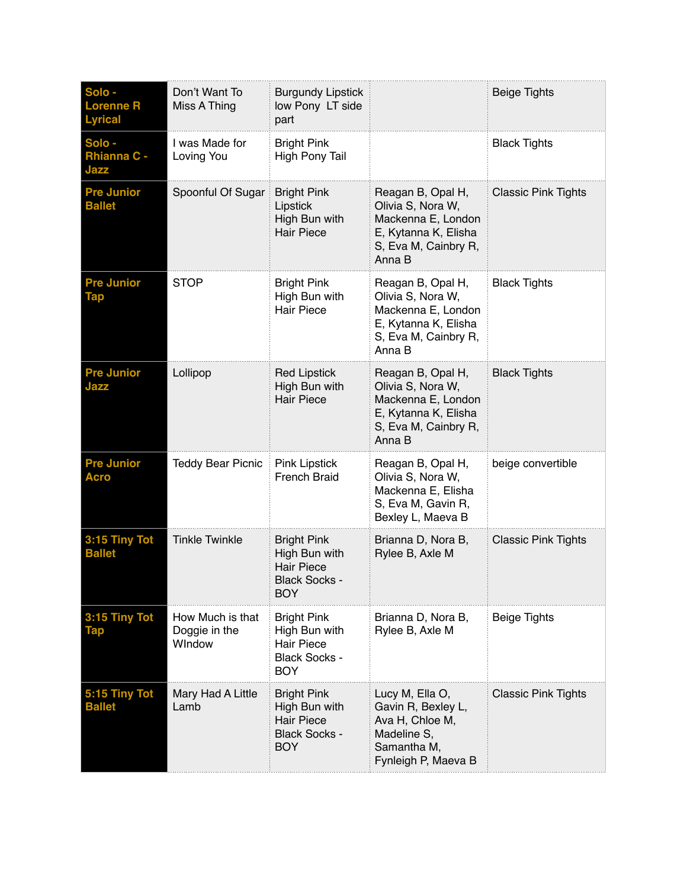| Solo -<br><b>Lorenne R</b><br><b>Lyrical</b> | Don't Want To<br>Miss A Thing               | <b>Burgundy Lipstick</b><br>low Pony LT side<br>part                                           |                                                                                                                        | <b>Beige Tights</b>        |
|----------------------------------------------|---------------------------------------------|------------------------------------------------------------------------------------------------|------------------------------------------------------------------------------------------------------------------------|----------------------------|
| Solo -<br><b>Rhianna C -</b><br>Jazz         | I was Made for<br>Loving You                | <b>Bright Pink</b><br><b>High Pony Tail</b>                                                    |                                                                                                                        | <b>Black Tights</b>        |
| <b>Pre Junior</b><br><b>Ballet</b>           | Spoonful Of Sugar                           | <b>Bright Pink</b><br>Lipstick<br>High Bun with<br><b>Hair Piece</b>                           | Reagan B, Opal H,<br>Olivia S, Nora W,<br>Mackenna E, London<br>E, Kytanna K, Elisha<br>S, Eva M, Cainbry R,<br>Anna B | <b>Classic Pink Tights</b> |
| <b>Pre Junior</b><br><b>Tap</b>              | <b>STOP</b>                                 | <b>Bright Pink</b><br>High Bun with<br><b>Hair Piece</b>                                       | Reagan B, Opal H,<br>Olivia S, Nora W,<br>Mackenna E, London<br>E, Kytanna K, Elisha<br>S, Eva M, Cainbry R,<br>Anna B | <b>Black Tights</b>        |
| <b>Pre Junior</b><br>Jazz                    | Lollipop                                    | <b>Red Lipstick</b><br>High Bun with<br><b>Hair Piece</b>                                      | Reagan B, Opal H,<br>Olivia S, Nora W,<br>Mackenna E, London<br>E, Kytanna K, Elisha<br>S, Eva M, Cainbry R,<br>Anna B | <b>Black Tights</b>        |
| <b>Pre Junior</b><br><b>Acro</b>             | <b>Teddy Bear Picnic</b>                    | <b>Pink Lipstick</b><br><b>French Braid</b>                                                    | Reagan B, Opal H,<br>Olivia S, Nora W,<br>Mackenna E, Elisha<br>S, Eva M, Gavin R,<br>Bexley L, Maeva B                | beige convertible          |
| 3:15 Tiny Tot<br><b>Ballet</b>               | <b>Tinkle Twinkle</b>                       | <b>Bright Pink</b><br>High Bun with<br><b>Hair Piece</b><br><b>Black Socks -</b><br>BOY        | Brianna D, Nora B,<br>Rylee B, Axle M                                                                                  | <b>Classic Pink Tights</b> |
| 3:15 Tiny Tot<br><b>Tap</b>                  | How Much is that<br>Doggie in the<br>WIndow | <b>Bright Pink</b><br>High Bun with<br><b>Hair Piece</b><br><b>Black Socks -</b><br><b>BOY</b> | Brianna D, Nora B,<br>Rylee B, Axle M                                                                                  | <b>Beige Tights</b>        |
| 5:15 Tiny Tot<br><b>Ballet</b>               | Mary Had A Little<br>Lamb                   | <b>Bright Pink</b><br>High Bun with<br><b>Hair Piece</b><br><b>Black Socks -</b><br><b>BOY</b> | Lucy M, Ella O,<br>Gavin R, Bexley L,<br>Ava H, Chloe M,<br>Madeline S,<br>Samantha M,<br>Fynleigh P, Maeva B          | <b>Classic Pink Tights</b> |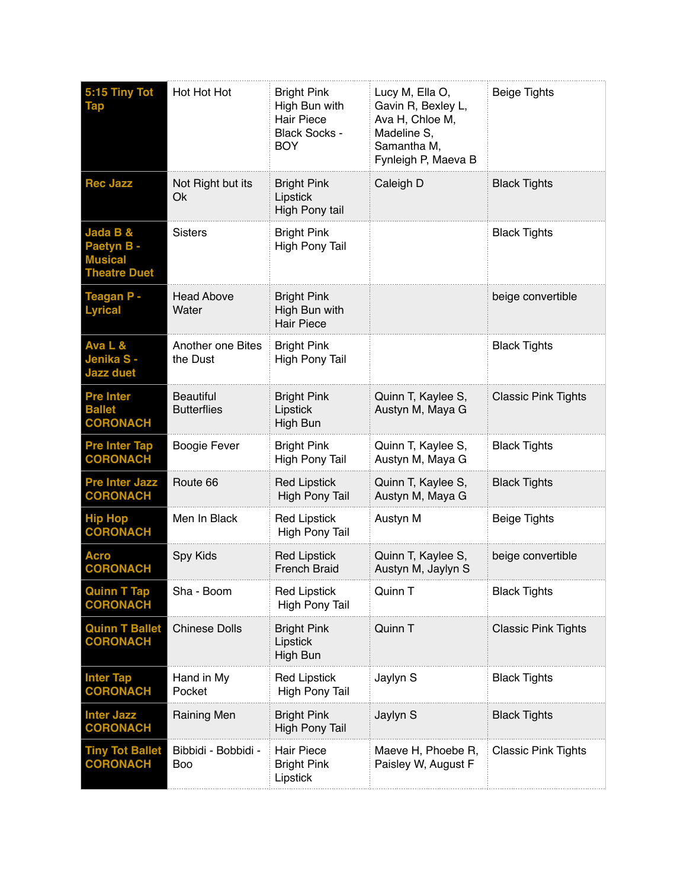| 5:15 Tiny Tot<br><b>Tap</b>                                     | Hot Hot Hot                            | <b>Bright Pink</b><br>High Bun with<br><b>Hair Piece</b><br><b>Black Socks -</b><br><b>BOY</b> | Lucy M, Ella O,<br>Gavin R, Bexley L,<br>Ava H, Chloe M,<br>Madeline S,<br>Samantha M,<br>Fynleigh P, Maeva B | <b>Beige Tights</b>        |
|-----------------------------------------------------------------|----------------------------------------|------------------------------------------------------------------------------------------------|---------------------------------------------------------------------------------------------------------------|----------------------------|
| <b>Rec Jazz</b>                                                 | Not Right but its<br>Ok                | <b>Bright Pink</b><br>Lipstick<br>High Pony tail                                               | Caleigh D                                                                                                     | <b>Black Tights</b>        |
| Jada B &<br>Paetyn B -<br><b>Musical</b><br><b>Theatre Duet</b> | <b>Sisters</b>                         | <b>Bright Pink</b><br><b>High Pony Tail</b>                                                    |                                                                                                               | <b>Black Tights</b>        |
| Teagan P -<br><b>Lyrical</b>                                    | <b>Head Above</b><br>Water             | <b>Bright Pink</b><br>High Bun with<br><b>Hair Piece</b>                                       |                                                                                                               | beige convertible          |
| Ava L &<br>Jenika S-<br><b>Jazz duet</b>                        | Another one Bites<br>the Dust          | <b>Bright Pink</b><br><b>High Pony Tail</b>                                                    |                                                                                                               | <b>Black Tights</b>        |
| <b>Pre Inter</b><br><b>Ballet</b><br><b>CORONACH</b>            | <b>Beautiful</b><br><b>Butterflies</b> | <b>Bright Pink</b><br>Lipstick<br>High Bun                                                     | Quinn T, Kaylee S,<br>Austyn M, Maya G                                                                        | <b>Classic Pink Tights</b> |
| <b>Pre Inter Tap</b><br><b>CORONACH</b>                         | <b>Boogie Fever</b>                    | <b>Bright Pink</b><br><b>High Pony Tail</b>                                                    | Quinn T, Kaylee S,<br>Austyn M, Maya G                                                                        | <b>Black Tights</b>        |
| <b>Pre Inter Jazz</b><br><b>CORONACH</b>                        | Route 66                               | <b>Red Lipstick</b><br><b>High Pony Tail</b>                                                   | Quinn T, Kaylee S,<br>Austyn M, Maya G                                                                        | <b>Black Tights</b>        |
| <b>Hip Hop</b><br><b>CORONACH</b>                               | Men In Black                           | <b>Red Lipstick</b><br>High Pony Tail                                                          | Austyn M                                                                                                      | <b>Beige Tights</b>        |
| <b>Acro</b><br><b>CORONACH</b>                                  | Spy Kids                               | <b>Red Lipstick</b><br><b>French Braid</b>                                                     | Quinn T, Kaylee S,<br>Austyn M, Jaylyn S                                                                      | beige convertible          |
| <b>Quinn T Tap</b><br><b>CORONACH</b>                           | Sha - Boom                             | <b>Red Lipstick</b><br><b>High Pony Tail</b>                                                   | Quinn T                                                                                                       | <b>Black Tights</b>        |
| <b>Quinn T Ballet</b><br><b>CORONACH</b>                        | <b>Chinese Dolls</b>                   | <b>Bright Pink</b><br>Lipstick<br>High Bun                                                     | Quinn T                                                                                                       | <b>Classic Pink Tights</b> |
| <b>Inter Tap</b><br><b>CORONACH</b>                             | Hand in My<br>Pocket                   | <b>Red Lipstick</b><br>High Pony Tail                                                          | Jaylyn S                                                                                                      | <b>Black Tights</b>        |
| <b>Inter Jazz</b><br><b>CORONACH</b>                            | <b>Raining Men</b>                     | <b>Bright Pink</b><br><b>High Pony Tail</b>                                                    | Jaylyn S                                                                                                      | <b>Black Tights</b>        |
| <b>Tiny Tot Ballet</b><br><b>CORONACH</b>                       | Bibbidi - Bobbidi -<br>Boo             | <b>Hair Piece</b><br><b>Bright Pink</b><br>Lipstick                                            | Maeve H, Phoebe R,<br>Paisley W, August F                                                                     | <b>Classic Pink Tights</b> |